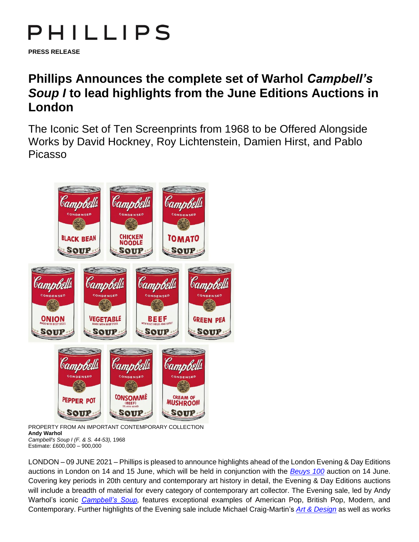## PHILLIPS

**PRESS RELEASE**

## **Phillips Announces the complete set of Warhol** *Campbell's Soup I* **to lead highlights from the June Editions Auctions in London**

The Iconic Set of Ten Screenprints from 1968 to be Offered Alongside Works by David Hockney, Roy Lichtenstein, Damien Hirst, and Pablo Picasso



PROPERTY FROM AN IMPORTANT CONTEMPORARY COLLECTION **Andy Warhol** *Campbell's Soup I (F. & S. 44-53),* 1968 Estimate: £600,000 – 900,000

LONDON – 09 JUNE 2021 – Phillips is pleased to announce highlights ahead of the London Evening & Day Editions auctions in London on 14 and 15 June, which will be held in conjunction with the *[Beuys 100](https://www.phillips.com/press/release/phillips-announces-beuys-100)* auction on 14 June. Covering key periods in 20th century and contemporary art history in detail, the Evening & Day Editions auctions will include a breadth of material for every category of contemporary art collector. The Evening sale, led by Andy Warhol's iconic *[Campbell's Soup,](https://www.phillips.com/detail/andy-warhol/UK030221/120)* features exceptional examples of American Pop, British Pop, Modern, and Contemporary. Further highlights of the Evening sale include Michael Craig-Martin's *[Art & Design](https://www.phillips.com/detail/michael-craigmartin/UK030221/128)* as well as works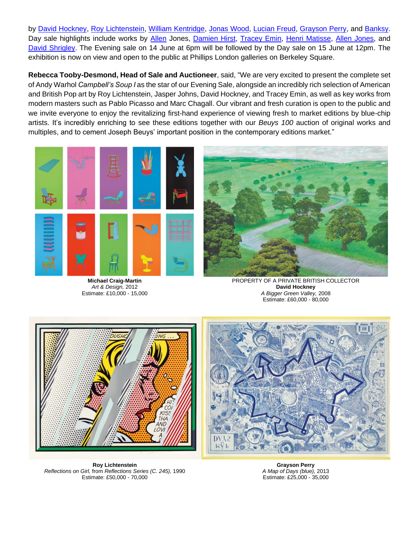by [David Hockney,](https://www.phillips.com/detail/david-hockney/UK030221/148) [Roy Lichtenstein,](https://www.phillips.com/detail/roy-lichtenstein/UK030221/123) [William Kentridge,](https://www.phillips.com/detail/william-kentridge/UK030221/110) [Jonas Wood,](https://www.phillips.com/detail/jonas-wood/UK030221/164) [Lucian Freud,](https://www.phillips.com/detail/lucian-freud/UK030221/111) [Grayson Perry,](https://www.phillips.com/detail/grayson-perry/UK030221/147) and [Banksy.](https://www.phillips.com/detail/banksy/UK030221/172) Day sale highlights include works by [Allen](https://www.phillips.com/detail/allen-jones/UK030221/231) Jones, [Damien Hirst,](https://www.phillips.com/detail/damien-hirst/UK030221/142) [Tracey Emin,](https://www.phillips.com/detail/tracey-emin/UK030221/141) [Henri Matisse,](https://www.phillips.com/detail/henri-matisse/UK030221/191) [Allen Jones,](https://www.phillips.com/detail/allen-jones/UK030221/231) and [David Shrigley.](https://www.phillips.com/detail/david-shrigley/UK030221/339) The Evening sale on 14 June at 6pm will be followed by the Day sale on 15 June at 12pm. The exhibition is now on view and open to the public at Phillips London galleries on Berkeley Square.

**Rebecca Tooby-Desmond, Head of Sale and Auctioneer**, said, "We are very excited to present the complete set of Andy Warhol *Campbell's Soup I* as the star of our Evening Sale, alongside an incredibly rich selection of American and British Pop art by Roy Lichtenstein, Jasper Johns, David Hockney, and Tracey Emin, as well as key works from modern masters such as Pablo Picasso and Marc Chagall. Our vibrant and fresh curation is open to the public and we invite everyone to enjoy the revitalizing first-hand experience of viewing fresh to market editions by blue-chip artists. It's incredibly enriching to see these editions together with our *Beuys 100* auction of original works and multiples, and to cement Joseph Beuys' important position in the contemporary editions market."



**Michael Craig-Martin** *Art & Design,* 2012 Estimate: £10,000 - 15,000



PROPERTY OF A PRIVATE BRITISH COLLECTOR **David Hockney** *A Bigger Green Valley,* 2008 Estimate: £60,000 - 80,000





**Roy Lichtenstein** *Reflections on Girl,* from *Reflections Series (C. 245),* 1990 Estimate: £50,000 - 70,000

**Grayson Perry** *A Map of Days (blue),* 2013 Estimate: £25,000 - 35,000